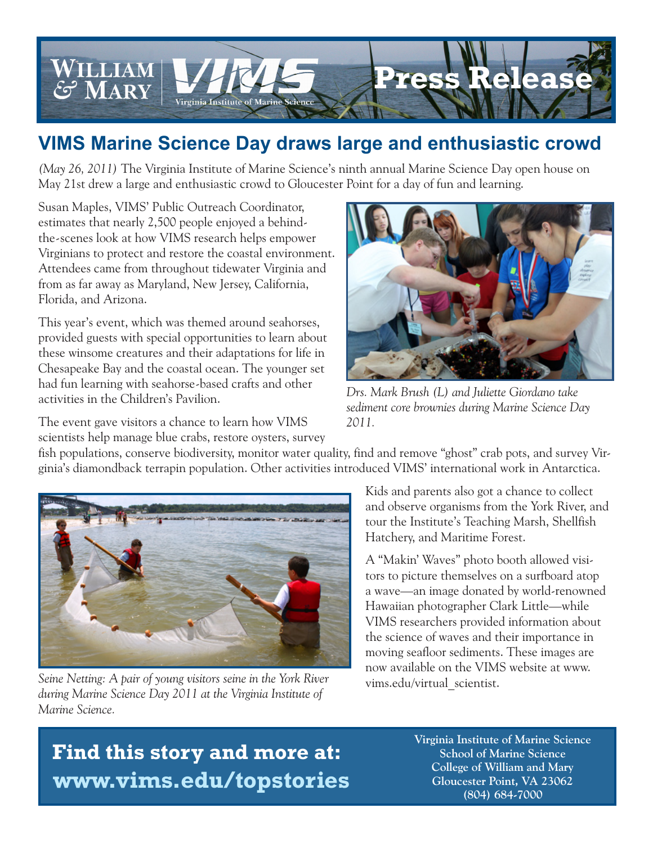

## **VIMS Marine Science Day draws large and enthusiastic crowd**

*(May 26, 2011)* The Virginia Institute of Marine Science's ninth annual Marine Science Day open house on May 21st drew a large and enthusiastic crowd to Gloucester Point for a day of fun and learning.

Susan Maples, VIMS' Public Outreach Coordinator, estimates that nearly 2,500 people enjoyed a behindthe-scenes look at how VIMS research helps empower Virginians to protect and restore the coastal environment. Attendees came from throughout tidewater Virginia and from as far away as Maryland, New Jersey, California, Florida, and Arizona.

This year's event, which was themed around seahorses, provided guests with special opportunities to learn about these winsome creatures and their adaptations for life in Chesapeake Bay and the coastal ocean. The younger set had fun learning with seahorse-based crafts and other activities in the Children's Pavilion.

The event gave visitors a chance to learn how VIMS scientists help manage blue crabs, restore oysters, survey



*Drs. Mark Brush (L) and Juliette Giordano take sediment core brownies during Marine Science Day 2011.*

fish populations, conserve biodiversity, monitor water quality, find and remove "ghost" crab pots, and survey Virginia's diamondback terrapin population. Other activities introduced VIMS' international work in Antarctica.



*Seine Netting: A pair of young visitors seine in the York River during Marine Science Day 2011 at the Virginia Institute of Marine Science.*

Kids and parents also got a chance to collect and observe organisms from the York River, and tour the Institute's Teaching Marsh, Shellfish Hatchery, and Maritime Forest.

A "Makin' Waves" photo booth allowed visitors to picture themselves on a surfboard atop a wave—an image donated by world-renowned Hawaiian photographer Clark Little—while VIMS researchers provided information about the science of waves and their importance in moving seafloor sediments. These images are now available on the VIMS website at www. vims.edu/virtual\_scientist.

## **Find this story and more at: www.vims.edu/topstories**

 **Virginia Institute of Marine Science School of Marine Science College of William and Mary Gloucester Point, VA 23062 (804) 684-7000**